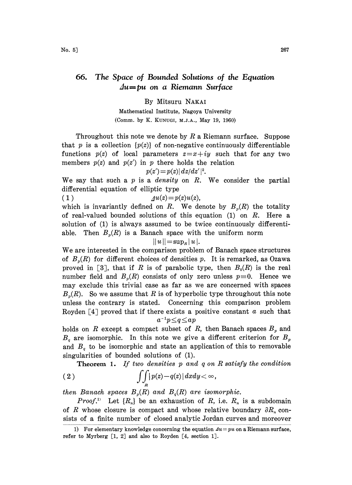# 66. The Space of Bounded Solutions of the Equation  $\Delta u = pu$  on a Riemann Surface

## By Mitsuru NAKA

Mathematical Institute, Nagoya University (Comm. by K. KUNUGI, M.J.A., May 19, 1960)

Throughout this note we denote by  $R$  a Riemann surface. Suppose that p is a collection  $\{p(z)\}\$  of non-negative continuously differentiable functions  $p(z)$  of local parameters  $z=x+iy$  such that for any two members  $p(z)$  and  $p(z')$  in p there holds the relation

$$
p(z') = p(z) |dz/dz'|^2.
$$

We say that such a  $p$  is a *density* on  $R$ . We consider the partial differential equation of elliptic type

(1)  $\Delta u(z) = p(z)u(z),$ 

which is invariantly defined on R. We denote by  $B_n(R)$  the totality of real-valued bounded solutions of this equation (1) on R. Here a solution of (1) is always assumed to be twice continuously differentiable. Then  $B_n(R)$  is a Banach space with the uniform norm

$$
||u||\!=\!\sup\nolimits_R|u|.
$$

We are interested in the comparison problem of Banach space structures of  $B_p(R)$  for different choices of densities p. It is remarked, as Ozawa proved in [3], that if R is of parabolic type, then  $B_0(R)$  is the real number field and  $B_n(R)$  consists of only zero unless  $p=0$ . Hence we may exclude this trivial case as far as we are concerned with spaces  $B_n(R)$ . So we assume that R is of hyperbolic type throughout this note unless the contrary is stated. Concerning this comparison problem Royden [4] proved that if there exists a positive constant  $\alpha$  such that  $a^{-1}p\leq q\leq ap$ 

holds on R except a compact subset of R, then Banach spaces  $B_p$  and  $B_q$  are isomorphic. In this note we give a different criterion for  $B_p$ and  $B_q$  to be isomorphic and state an application of this to removable singularities of bounded solutions of (1).

**Theorem 1.** If two densities p and q on R satisfy the condition

$$
\int\!\!\int\limits_{R}\bigl|p(z)-q(z)\bigr|\,dxdy<\infty\,,
$$

then Banach spaces  $B_p(R)$  and  $B_q(R)$  are isomorphic.

*Proof.*<sup>1</sup> Let  $\{R_n\}$  be an exhaustion of R, i.e.  $R_n$  is a subdomain of R whose closure is compact and whose relative boundary  $\partial R_n$  consists of a finite number of closed analytic Jordan curves and moreover

<sup>1)</sup> For elementary knowledge concerning the equation  $Au = pu$  on a Riemann surface, refer to Myrberg [1, 2] and also to Royden [4, section lJ.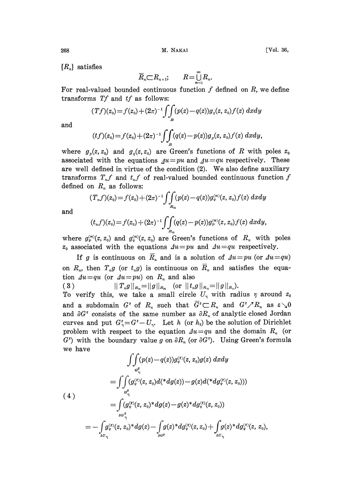${R_n}$  satisfies

$$
\overline{R}_n \subset R_{n+1}; \qquad R = \bigcup_{n=1}^{\infty} R_n.
$$

For real-valued bounded continuous function  $f$  defined on  $R$ , we define transforms Tf and tf as follows:

$$
(Tf)(z_0) = f(z_0) + (2\pi)^{-1} \int\int_R (p(z) - q(z))g_q(z, z_0) f(z) \ dx dy
$$

and

$$
(tf)(z_0) = f(z_0) + (2\pi)^{-1} \int\int_R (q(z) - p(z))g_y(z, z_0) f(z) \ dx dy,
$$

where  $g_p(z, z_0)$  and  $g_q(z, z_0)$  are Green's functions of R with poles  $z_0$ associated with the equations  $\Delta u = pu$  and  $\Delta u = qu$  respectively. These are well defined in virtue of the condition (2). We also define auxiliary transforms  $T_n f$  and  $t_n f$  of real-valued bounded continuous function f defined on  $R_n$  as follows:

$$
(T_n f)(z_0) = f(z_0) + (2\pi)^{-1} \int\!\!\int\limits_{R_n} (p(z) - q(z)) g_q^{(n)}(z, z_0) f(z) \ dx dy
$$

and

$$
(t_n f)(z_0) = f(z_0) + (2\pi)^{-1} \int\int\limits_{R_n} (q(z) - p(z)) g_{p}^{(n)}(z, z_0) f(z) \ dx dy,
$$

where  $g_p^{(n)}(z, z_0)$  and  $g_q^{(n)}(z, z_0)$  are Green's functions of  $R_n$  with poles  $z_0$  associated with the equations  $\Delta u = pu$  and  $\Delta u = qu$  respectively.

If g is continuous on  $\overline{R}_n$  and is a solution of  $\Delta u = pu$  (or  $\Delta u = qu$ ) on  $R_n$ , then  $T_n g$  (or  $t_n g$ ) is continuous on  $R_n$  and satisfies the equation  $\Delta u = qu$  (or  $\Delta u = pu$ ) on  $R_n$  and also

$$
(3) \t\t ||T_n g||_{R_n} = ||g||_{R_n} \t (or ||t_n g||_{R_n} = ||g||_{R_n}).
$$

To verify this, we take a small circle  $U_{\eta}$  with radius  $\eta$  around  $z_0$ and a subdomain  $G^{\varepsilon}$  of  $R_n$  such that  $\overline{G}^{\varepsilon} \subset R_n$  and  $G^{\varepsilon} \nearrow R_n$  as  $\varepsilon \searrow 0$ and  $\partial G^{\varepsilon}$  consists of the same number as  $\partial R_n$  of analytic closed Jordan curves and put  $G_{\eta}^{\varepsilon} = G^{\varepsilon} - U_{\eta}$ . Let h (or  $h_{\varepsilon}$ ) be the solution of Dirichlet curves and put  $G_{\eta}^{\epsilon} = G^{\epsilon} - U_{\eta}$ . Let h (or  $h_{\epsilon}$ ) be the solution of Dirichlet<br>problem with respect to the equation  $\Delta u = qu$  and the domain  $R_n$  (or  $G^{\varepsilon}$ ) with the boundary value g on  $\partial R_n$  (or  $\partial G^{\varepsilon}$ ). Using Green's formula we have

$$
\iint_{G_q^e} (p(z) - q(z)) g_q^{(\varepsilon)}(z, z_0) g(z) \, dxdy
$$
\n
$$
= \iint_{G_q^e} (g_q^{(\varepsilon)}(z, z_0) d(^* d g(z)) - g(z) d(^* d g_q^{(\varepsilon)}(z, z_0)))
$$
\n
$$
(4)
$$
\n
$$
= \int_{\partial G_q^e} (g_q^{(\varepsilon)}(z, z_0)^* d g(z) - g(z)^* d g_q^{(\varepsilon)}(z, z_0))
$$
\n
$$
= - \int_{\partial G_q} g_q^{(\varepsilon)}(z, z_0)^* d g(z) - \int_{\partial G_q^e} g(z)^* d g_q^{(\varepsilon)}(z, z_0) + \int_{\partial G_q} g(z)^* d g_q^{(\varepsilon)}(z, z_0)
$$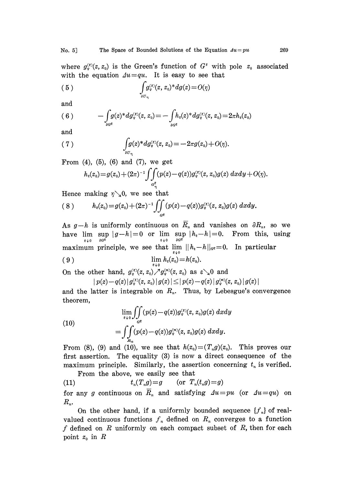where  $g_q^{(s)}(z, z_0)$  is the Green's function of  $G^s$  with pole  $z_0$  associated with the equation  $\Delta u = qu$ . It is easy to see that

$$
\int\limits_{\partial U_{\eta}} g_q^{(\varepsilon)}(z, z_0)^* dg(z) = O(\eta)
$$

and

$$
(6) \qquad \qquad -\int_{\partial G^{\epsilon}} g(z)^{*} dg_q^{(\epsilon)}(z,z_0) = -\int_{\partial G^{\epsilon}} h_{\epsilon}(z)^{*} dg_q^{(\epsilon)}(z,z_0) = 2\pi h_{\epsilon}(z_0)
$$

and

(7) 
$$
\int_{\partial U_{\eta}} g(z)^* dg_{\eta}^{(\varepsilon)}(z, z_0) = -2\pi g(z_0) + O(\eta).
$$

From  $(4)$ ,  $(5)$ ,  $(6)$  and  $(7)$ , we get

$$
h_{\varepsilon}(z_0) = g(z_0) + (2\pi)^{-1} \int\!\!\!\int\limits_{G_{\eta_1}^{\varepsilon}} (p(z) - q(z)) g_{q}^{\varepsilon_2}(z,z_0) g(z) \; dx dy + O(\eta).
$$

Hence making  $\eta \searrow 0$ , we see that

$$
(8) \t h_{\epsilon}(z_0) = g(z_0) + (2\pi)^{-1} \iint_{G^{\epsilon}} (p(z) - q(z)) g_{q}^{\epsilon}(z, z_0) g(z) \ dx dy.
$$

As  $g-h$  is uniformly continuous on  $R_n$  and vanishes on  $\partial R_n$ , so we have  $\lim_{\varepsilon \to 0} \sup_{\partial G^{\varepsilon}} |g-h| = 0$  or  $\lim_{\varepsilon \to 0} \sup_{\partial G^{\varepsilon}} |h_{\varepsilon}-h| = 0$ . From this, using maximum principle, we see that  $\lim_{\varepsilon \to 0} ||h_{\varepsilon} - h||_{G^{\varepsilon}} = 0$ . In particular

$$
(9) \qquad \qquad \lim_{\varepsilon \downarrow 0} h_{\varepsilon}(z_0) = h(z_0).
$$

On the other hand,  $g_q^{(z)}(z, z_0) \nearrow g_q^{(n)}(z, z_0)$  as  $\epsilon \searrow 0$  and

$$
p(z) - q(z) |g_q^{(ε)}(z, z_0)| g(z) | \le |p(z) - q(z)| |g_q^{(n)}(z, z_0)| |g(z)| |
$$

and the latter is integrable on  $R_n$ . Thus, by Lebesgue's convergence theorem,

(10)  
\n
$$
\lim_{\varepsilon \to 0} \iint_{G^{\varepsilon}} (p(z) - q(z)) g_{q}^{(\varepsilon)}(z, z_0) g(z) \, dxdy
$$
\n
$$
= \iint_{R_n} (p(z) - q(z)) g_{q}^{(n)}(z, z_0) g(z) \, dxdy.
$$

From (8), (9) and (10), we see that  $h(z_0)=(T_g g)(z_0)$ . This proves our first assertion. The equality (3) is now a direct consequence of the maximum principle. Similarly, the assertion concerning  $t_n$  is verified. From the above, we easily see that

(11)  $t_n(T_n g) = g$  (or  $T_n(t_n g) = g$ )

for any g continuous on  $\overline{R}_n$  and satisfying  $Au=pu$  (or  $Au=qu$ ) on  $R_{n}$ .

On the other hand, if a uniformly bounded sequence  $\{f_n\}$  of realvalued continuous functions  $f_n$  defined on  $R_n$  converges to a function f defined on  $R$  uniformly on each compact subset of  $R$ , then for each point  $z_0$  in  $R$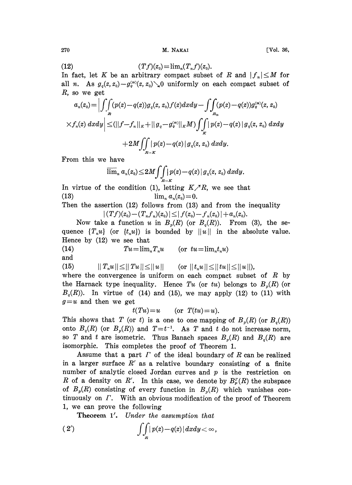$270$  M. NAKAI [Vol. 36,

(12) 
$$
(Tf)(z_0) = \lim_{n} (T_n f)(z_0).
$$

In fact, let K be an arbitrary compact subset of R and  $|f_n| \leq M$  for all *n*. As  $g_q(z, z_0) - g_q^{(n)}(z, z_0) \searrow 0$  uniformly on each compact subset of  $R$ , so we get

$$
a_n(z_0) = \Big| \int \int_R (p(z) - q(z)) g_q(z, z_0) f(z) dx dy - \int \int_{R_n} (p(z) - q(z)) g_q^{(m)}(z, z_0)
$$
  
 
$$
\times f_n(z) dx dy \Big| \leq (||f - f_n||_K + ||g_q - g_q^{(m)}||_K M) \int_K |\, p(z) - q(z) \, |g_q(z, z_0) \, dxdy
$$
  
 
$$
+ 2M \int \int_{R - K} |\, p(z) - q(z) \, | \, g_q(z, z_0) \, dxdy.
$$

From this we have

$$
\overline{\lim}_n a_n(z_0) \leq 2M \int \int \int \left|p(z) - q(z) \right| g_q(z, z_0) \, dxdy.
$$

In virtue of the condition (1), letting  $K/R$ , we see that (13)  $\lim_{n} a_n(z_0) = 0.$ 

Then the assertion (12) follows from (13) and from the inequality  $|(Tf)(z_0)-(T_nf_n)(z_0)| \leq |f(z_0)-f_n(z_0)|+a_n(z_0).$ 

Now take a function u in  $B_p(R)$  (or  $B_q(R)$ ). From (3), the sequence  $\{T_n u\}$  (or  $\{t_n u\}$ ) is bounded by  $||u||$  in the absolute value. Hence by (12) we see that

(14)  $Tu = \lim_{n} T_n u$  (or  $tu = \lim_{n} t_n u$ ) and  $\overline{a}$ 

(15)  $\|T_n u\| \le \|Tu\| \le \|u\|$  (or

where the convergence is uniform on each compact subset of  $R$  by the Harnack type inequality. Hence Tu (or tu) belongs to  $B_n(R)$  (or  $B_q(R)$ ). In virtue of (14) and (15), we may apply (12) to (11) with  $g=u$  and then we get

 $t(Tu) = u$  (or  $T(tu) = u$ ).

This shows that T (or t) is a one to one mapping of  $B_p(R)$  (or  $B_q(R)$ ) onto  $B_q(R)$  (or  $B_p(R)$ ) and  $T=t^{-1}$ . As T and t do not increase norm, so T and t are isometric. Thus Banach spaces  $B<sub>p</sub>(R)$  and  $B<sub>q</sub>(R)$  are isomorphic. This completes the proof of Theorem 1.

Assume that a part  $\Gamma$  of the ideal boundary of  $R$  can be realized in a larger surface  $R'$  as a relative boundary consisting of a finite number of analytic closed Jordan curves and  $p$  is the restriction on R of a density on R'. In this case, we denote by  $B_r^r(R)$  the subspace of  $B_p(R)$  consisting of every function in  $B_p(R)$  which vanishes continuously on  $\Gamma$ . With an obvious modification of the proof of Theorem 1, we can prove the following

Theorem 1'. Under the assumption that

(2') 
$$
\int\int\int_R |p(z)-q(z)| dx dy < \infty,
$$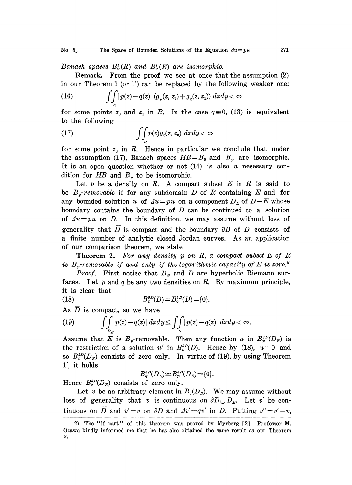#### No. 5] The Space of Bounded Solutions of the Equation  $Au = pu$  271

Banach spaces  $B_r^r(R)$  and  $B_c^r(R)$  are isomorphic.

Remark. From the proof we see at once that the assumption (2) in our Theorem 1 (or 1') can be replaced by the following weaker one:

(16) 
$$
\int_{R} |p(z)-q(z)| (g_p(z, z_o) + g_q(z, z_1)) dx dy < \infty
$$

for some points  $z_0$  and  $z_1$  in R. In the case  $q \equiv 0$ , (13) is equivalent to the following

(17) 
$$
\int\!\!\int_R p(z)g_0(z,z_0) \; dx dy < \infty
$$

for some point  $z_0$  in R. Hence in particular we conclude that under the assumption (17), Banach spaces  $HB = B_0$  and  $B_p$  are isomorphic. It is an open question whether or not  $(14)$  is also a necessary condition for  $HB$  and  $B<sub>p</sub>$  to be isomorphic.

Let  $p$  be a density on  $R$ . A compact subset  $E$  in  $R$  is said to be  $B_p$ -removable if for any subdomain D of R containing E and for any bounded solution u of  $\Delta u = pu$  on a component  $D_E$  of  $D-E$  whose boundary contains the boundary of  $D$  can be continued to a solution of  $\Delta u = pu$  on D. In this definition, we may assume without loss of generality that  $\overline{D}$  is compact and the boundary  $\partial D$  of D consists of a finite number of analytic closed Jordan curves. As an application of our comparison theorem, we state

**Theorem 2.** For any density p on R, a compact subset  $E$  of  $R$ is  $B_n$ -removable if and only if the logarithmic capacity of E is zero.<sup>2)</sup>

*Proof.* First notice that  $D<sub>E</sub>$  and  $D$  are hyperbolic Riemann surfaces. Let  $p$  and  $q$  be any two densities on  $R$ . By maximum principle, it is clear that

(18) 
$$
B_p^{3D}(D) = B_q^{3D}(D) = \{0\}.
$$

As 
$$
\overline{D}
$$
 is compact, so we have  
\n(19) 
$$
\int\!\!\int\limits_{D_E} |p(z)-q(z)| \, dxdy \leq \int\!\!\int\limits_{D} |p(z)-q(z)| \, dxdy < \infty.
$$

Assume that E is  $B_p$ -removable. Then any function u in  $B_p^{3D}(D_E)$  is the restriction of a solution u' in  $B_p^{3D}(D)$ . Hence by (18),  $u \equiv 0$  and so  $B_p^{3D}(D_{\scriptscriptstyle E})$  consists of zero only. In virtue of (19), by using Theorem 1', it holds

$$
B_q^{3D}(D_{E})\cong B_p^{3D}(D_{E})=[0].
$$

Hence  $B_q^{3D}(D_{E})$  consists of zero only.

Let v be an arbitrary element in  $B_q(D_x)$ . We may assume without loss of generality that v is continuous on  $\partial D \bigcup D_{\kappa}$ . Let v' be continuous on  $\overline{D}$  and  $v' = v$  on  $\partial D$  and  $\Delta v' = qv'$  in D. Putting  $v'' = v' - v$ ,

<sup>2)</sup> The "if part" of this theorem was proved by Myrberg [2J. Professor M. Ozawa kindly informed me that he has also obtained the same result as our Theorem 2.